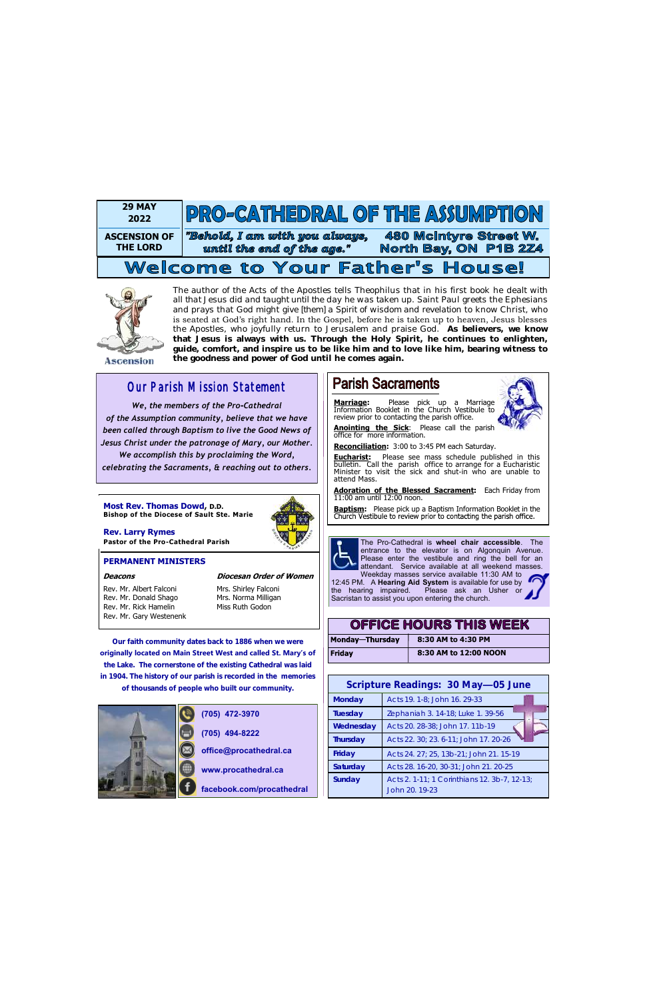**Our faith community dates back to 1886 when we were originally located on Main Street West and called St. Mary's of the Lake. The cornerstone of the existing Cathedral was laid in 1904. The history of our parish is recorded in the memories of thousands of people who built our community.** 



# *Our Parish Mission Statement*

 *We, the members of the Pro-Cathedral of the Assumption community, believe that we have been called through Baptism to live the Good News of Jesus Christ under the patronage of Mary, our Mother. We accomplish this by proclaiming the Word,* 

*celebrating the Sacraments, & reaching out to others.*

**(705) 472-3970 (705) 494-8222**

# **Parish Sacraments**

**office@procathedral.ca**

**www.procathedral.ca**

**facebook.com/procathedral**

**Eucharist:** Please see mass schedule published in this bulletin. Call the parish office to arrange for a Eucharistic Minister to visit the sick and shut-in who are unable to attend Mass.

> The Pro-Cathedral is **wheel chair accessible**. The entrance to the elevator is on Algonquin Avenue. Please enter the vestibule and ring the bell for an attendant. Service available at all weekend masses. Weekday masses service available 11:30 AM to

Rev. Mr. Albert Falconi Mrs. Shirley Falconi Rev. Mr. Donald Shago Mrs. Norma Milligan Rev. Mr. Rick Hamelin Miss Ruth Godon Rev. Mr. Gary Westenenk

12:45 PM. A **Hearing Aid System** is available for use by the hearing impaired. Please ask an Usher or Sacristan to assist you upon entering the church.

**Marriage:** Please pick up a Marriage Information Booklet in the Church Vestibule to review prior to contacting the parish office.



**Anointing the Sick**: Please call the parish office for more information.

**Reconciliation:** 3:00 to 3:45 PM each Saturday.

**Adoration of the Blessed Sacrament:** Each Friday from 11:00 am until 12:00 noon.

**Baptism:** Please pick up a Baptism Information Booklet in the Church Vestibule to review prior to contacting the parish office.



## **PERMANENT MINISTERS**

### **Deacons Diocesan Order of Women**

**Most Rev. Thomas Dowd, D.D. Bishop of the Diocese of Sault Ste. Marie**



**Rev. Larry Rymes Pastor of the Pro-Cathedral Parish** 

| <b>OFFICE HOURS THIS WEEK</b> |                       |
|-------------------------------|-----------------------|
| <b>Monday-Thursday</b>        | 8:30 AM to 4:30 PM    |
| <b>Friday</b>                 | 8:30 AM to 12:00 NOON |

| Scripture Readings: 30 May-05 June |                                                                |  |
|------------------------------------|----------------------------------------------------------------|--|
| Monday                             | Acts 19. 1-8; John 16. 29-33                                   |  |
| Tuesday                            | Zephaniah 3. 14-18; Luke 1. 39-56                              |  |
| Wednesday                          | Acts 20. 28-38; John 17. 11b-19                                |  |
| Thursday                           | Acts 22. 30; 23. 6-11; John 17. 20-26                          |  |
| Friday                             | Acts 24, 27; 25, 13b-21; John 21, 15-19                        |  |
| Saturday                           | Acts 28. 16-20, 30-31; John 21. 20-25                          |  |
| Sunday                             | Acts 2. 1-11; 1 Corinthians 12. 3b-7, 12-13;<br>John 20, 19-23 |  |

The author of the Acts of the Apostles tells Theophilus that in his first book he *dealt with all that Jesus did and taught until the day he was taken up*. Saint Paul greets the Ephesians and prays that God might *give [them] a Spirit of wisdom and revelation* to know Christ, who is seated at God's right hand. In the Gospel, before he is taken up to heaven, Jesus blesses the Apostles, who joyfully return to Jerusalem and praise God. **As believers, we know that Jesus is always with us. Through the Holy Spirit, he continues to enlighten, guide, comfort, and inspire us to be like him and to love like him, bearing witness to the goodness and power of God until he comes again.**

**Ascension** 



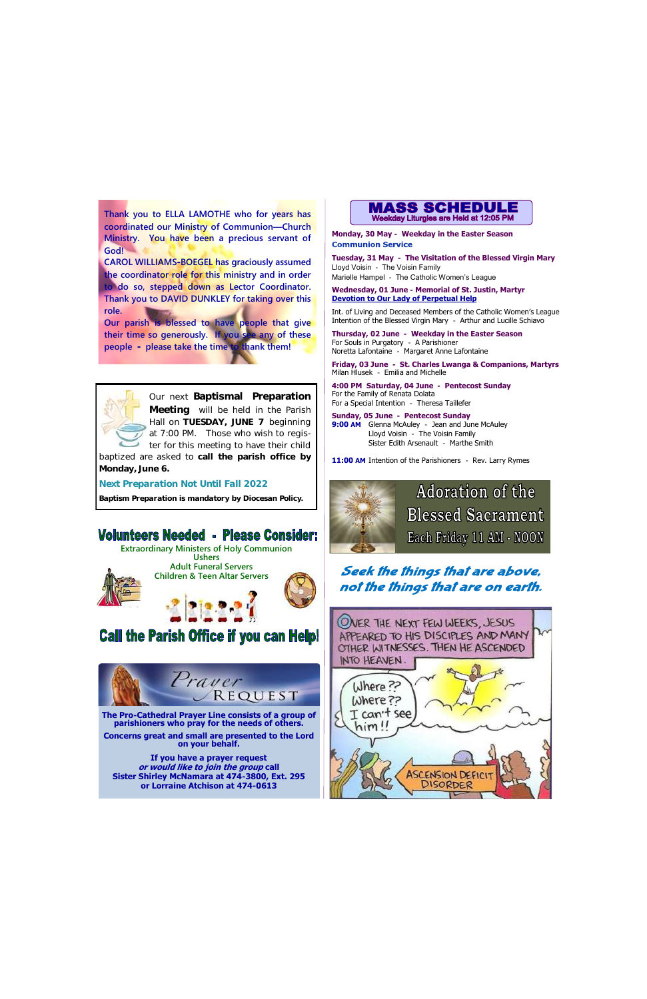Our next Baptismal Preparation Meeting will be held in the Parish Hall on TUESDAY, JUNE 7 beginning at 7:00 PM. Those who wish to register for this meeting to have their child

baptized are asked to call the parish office by Monday, June 6.

*Next Preparation Not Until Fall 2022*

*Baptism Preparation is mandatory by Diocesan Policy.*

# **Volunteers Needed - Please Consider:**

**Monday, 30 May - Weekday in the Easter Season Communion Service** 





**Concerns great and small are presented to the Lord on your behalf.** 

**If you have a prayer request or would like to join the group call Sister Shirley McNamara at 474-3800, Ext. 295 or Lorraine Atchison at 474-0613** 



# **Call the Parish Office if you can Help!**

**Tuesday, 31 May - The Visitation of the Blessed Virgin Mary** Lloyd Voisin - The Voisin Family Marielle Hampel - The Catholic Women's League

 **Wednesday, 01 June - Memorial of St. Justin, Martyr Devotion to Our Lady of Perpetual Help** 

Int. of Living and Deceased Members of the Catholic Women's League Intention of the Blessed Virgin Mary - Arthur and Lucille Schiavo

**Thursday, 02 June - Weekday in the Easter Season** For Souls in Purgatory - A Parishioner Noretta Lafontaine - Margaret Anne Lafontaine

**Friday, 03 June - St. Charles Lwanga & Companions, Martyrs** Milan Hlusek - Emilia and Michelle

**4:00 PM Saturday, 04 June - Pentecost Sunday** For the Family of Renata Dolata For a Special Intention - Theresa Taillefer

**Sunday, 05 June - Pentecost Sunday 9:00 AM** Glenna McAuley - Jean and June McAuley Lloyd Voisin - The Voisin Family Sister Edith Arsenault - Marthe Smith

**11:00 AM** Intention of the Parishioners - Rev. Larry Rymes



**Adoration of the Blessed Sacrament** Each Friday 11 AM - NOON

## Seek the things that are above, not the things that are on earth.



**Thank you to ELLA LAMOTHE who for years has coordinated our Ministry of Communion—Church Ministry. You have been a precious servant of God!** 

**CAROL WILLIAMS-BOEGEL has graciously assumed the coordinator role for this ministry and in order to do so, stepped down as Lector Coordinator. Thank you to DAVID DUNKLEY for taking over this role.**

**Our parish is blessed to have people that give their time so generously. If you see any of these people - please take the time to thank them!**

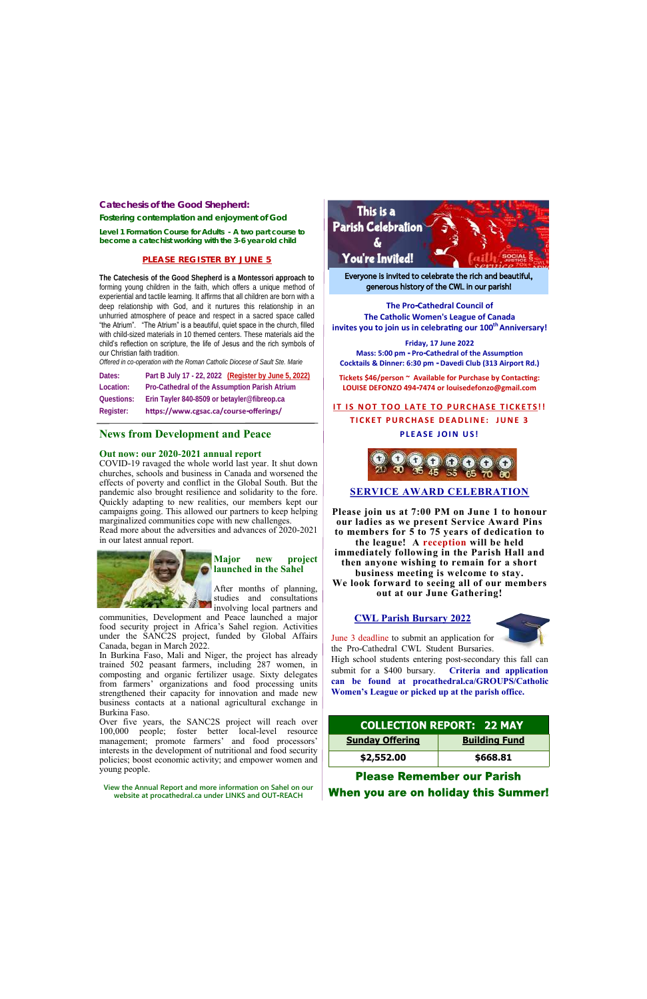| <b>Sunday Offering</b> | <b>Building Fund</b> |
|------------------------|----------------------|
| \$2,552.00             | \$668.81             |

**Please Remember our Parish** When you are on holiday this Summer!

**The Pro-Cathedral Council of The Catholic Women's League of Canada invites you to join us in celebrating our 100th Anniversary!** 

**Friday, 17 June 2022 Mass: 5:00 pm - Pro-Cathedral of the Assumption Cocktails & Dinner: 6:30 pm - Davedi Club (313 Airport Rd.)**

**Tickets \$46/person ~ Available for Purchase by Contacting: LOUISE DEFONZO 494-7474 or louisedefonzo@gmail.com**

**IT IS NOT TOO LATE TO PURCHASE TICKETS!!** 

**TICKET PURCHASE DEADLINE: JUNE 3 PLEASE JOIN US!** 



## **SERVICE AWARD CELEBRATION**

**Please join us at 7:00 PM on June 1 to honour our ladies as we present Service Award Pins to members for 5 to 75 years of dedication to the league! A reception will be held immediately following in the Parish Hall and then anyone wishing to remain for a short business meeting is welcome to stay. We look forward to seeing all of our members out at our June Gathering!**

### **CWL Parish Bursary 2022**

June 3 deadline to submit an application for the Pro-Cathedral CWL Student Bursaries.

High school students entering post-secondary this fall can submit for a \$400 bursary. **Criteria and application can be found at procathedral.ca/GROUPS/Catholic Women's League or picked up at the parish office.**

## **COLLECTION REPORT: 22 MAY**

Everyone is invited to celebrate the rich and beautiful, generous history of the CWL in our parish!

### **Catechesis of the Good Shepherd:**

**Fostering contemplation and enjoyment of God** 

**Level 1 Formation Course for Adults - A two part course to become a catechist working with the 3-6 year old child** 

### **PLEASE REGISTER BY JUNE 5**

**The Catechesis of the Good Shepherd is a Montessori approach to**  forming young children in the faith, which offers a unique method of experiential and tactile learning. It affirms that all children are born with a deep relationship with God, and it nurtures this relationship in an unhurried atmosphere of peace and respect in a sacred space called "the Atrium". "The Atrium" is a beautiful, quiet space in the church, filled with child-sized materials in 10 themed centers. These materials aid the child's reflection on scripture, the life of Jesus and the rich symbols of our Christian faith tradition.

*Offered in co-operation with the Roman Catholic Diocese of Sault Ste. Marie* 

| Register:  | https://www.cgsac.ca/course-offerings/               |  |
|------------|------------------------------------------------------|--|
| Questions: | Erin Tayler 840-8509 or betayler@fibreop.ca          |  |
| Location:  | Pro-Cathedral of the Assumption Parish Atrium        |  |
| Dates:     | Part B July 17 - 22, 2022 (Register by June 5, 2022) |  |

## **News from Development and Peace**

### **Out now: our 2020-2021 annual report**

COVID-19 ravaged the whole world last year. It shut down churches, schools and business in Canada and worsened the effects of poverty and conflict in the Global South. But the pandemic also brought resilience and solidarity to the fore. Quickly adapting to new realities, our members kept our campaigns going. This allowed our partners to keep helping marginalized communities cope with new challenges. Read more about the adversities and advances of 2020-2021 in our latest annual report.



### **Major new project launched in the Sahel**

After months of planning, studies and consultations involving local partners and

communities, Development and Peace launched a major food security project in Africa's Sahel region. Activities under the SANC2S project, funded by Global Affairs Canada, began in March 2022.

In Burkina Faso, Mali and Niger, the project has already trained 502 peasant farmers, including 287 women, in composting and organic fertilizer usage. Sixty delegates from farmers' organizations and food processing units strengthened their capacity for innovation and made new business contacts at a national agricultural exchange in Burkina Faso.

Over five years, the SANC2S project will reach over 100,000 people; foster better local-level resource management; promote farmers' and food processors' interests in the development of nutritional and food security policies; boost economic activity; and empower women and young people.



**View the Annual Report and more information on Sahel on our website at procathedral.ca under LINKS and OUT-REACH**